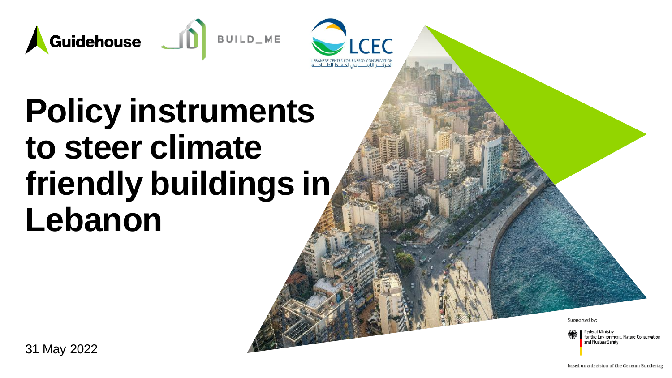



## **Policy instruments to steer climate friendly buildings in Lebanon**

Supported by:

Federal Ministry for the Environment, Nature Conservation. and Nuclear Safety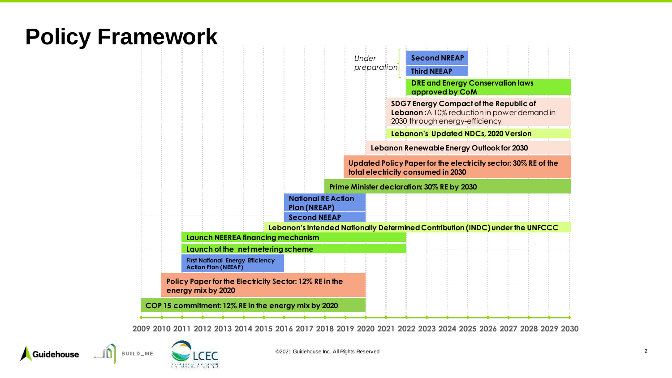### **Policy Framework**



2009 2010 2011 2012 2013 2014 2015 2016 2017 2018 2019 2020 2021 2022 2023 2024 2025 2026 2027 2028 2029 2030

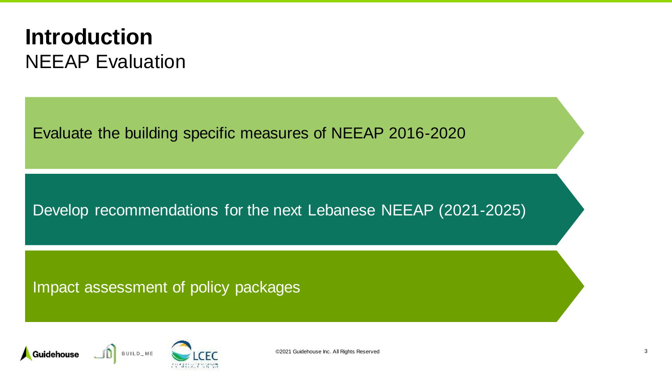#### **Introduction** NEEAP Evaluation

Evaluate the building specific measures of NEEAP 2016-2020

#### Develop recommendations for the next Lebanese NEEAP (2021-2025)

#### Impact assessment of policy packages

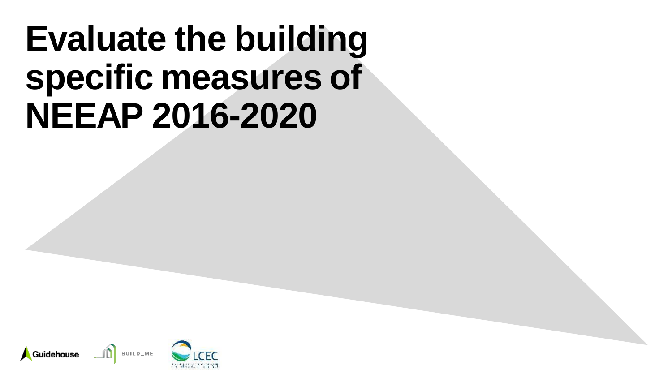# **Evaluate the building specific measures of NEEAP 2016-2020**

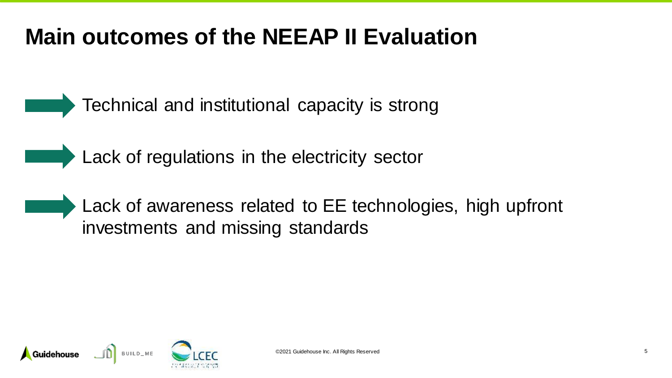### **Main outcomes of the NEEAP II Evaluation**

Technical and institutional capacity is strong

Lack of regulations in the electricity sector

Lack of awareness related to EE technologies, high upfront investments and missing standards

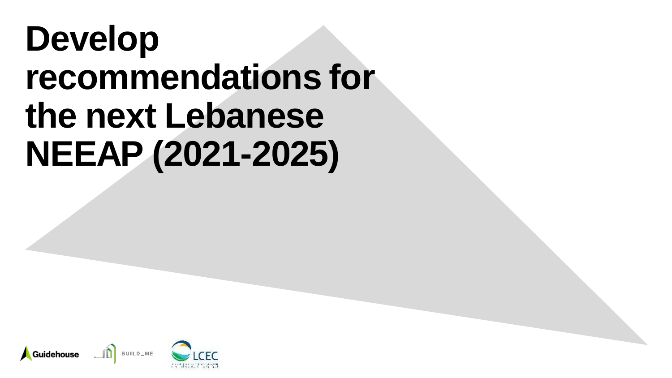# **Develop recommendations for the next Lebanese NEEAP (2021-2025)**

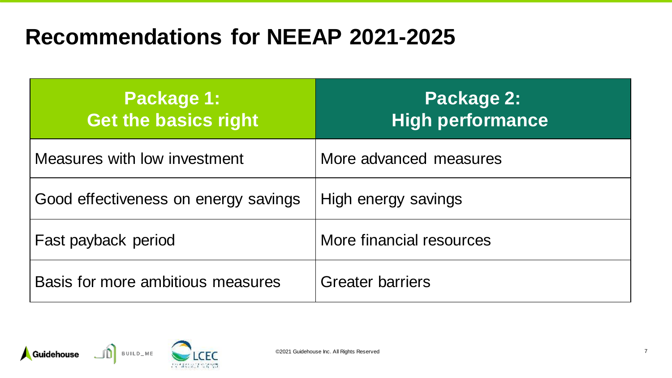### **Recommendations for NEEAP 2021-2025**

| <b>Package 1:</b><br><b>Get the basics right</b> | Package 2:<br><b>High performance</b> |
|--------------------------------------------------|---------------------------------------|
| Measures with low investment                     | More advanced measures                |
| Good effectiveness on energy savings             | High energy savings                   |
| Fast payback period                              | More financial resources              |
| Basis for more ambitious measures                | <b>Greater barriers</b>               |

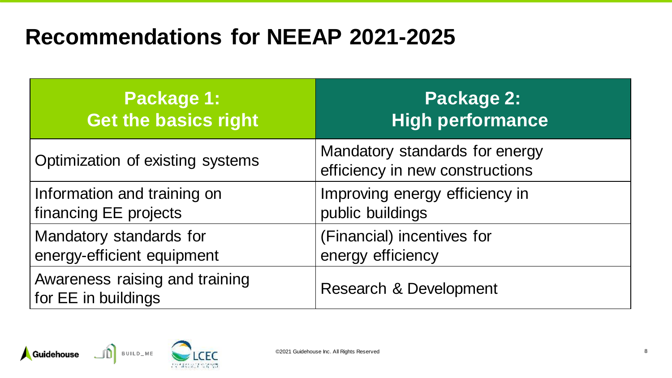### **Recommendations for NEEAP 2021-2025**

| Package 1:                                            | <b>Package 2:</b>                                                 |
|-------------------------------------------------------|-------------------------------------------------------------------|
| <b>Get the basics right</b>                           | <b>High performance</b>                                           |
| Optimization of existing systems                      | Mandatory standards for energy<br>efficiency in new constructions |
| Information and training on                           | Improving energy efficiency in                                    |
| financing EE projects                                 | public buildings                                                  |
| Mandatory standards for                               | (Financial) incentives for                                        |
| energy-efficient equipment                            | energy efficiency                                                 |
| Awareness raising and training<br>for EE in buildings | Research & Development                                            |

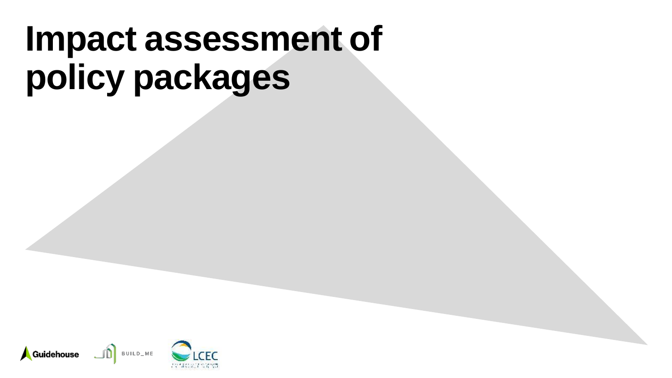# **Impact assessment of policy packages**

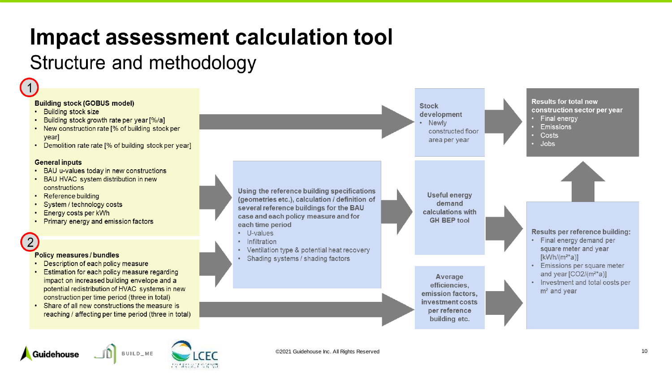### Impact assessment calculation tool

#### Structure and methodology

BUILD\_ME

Guidehouse

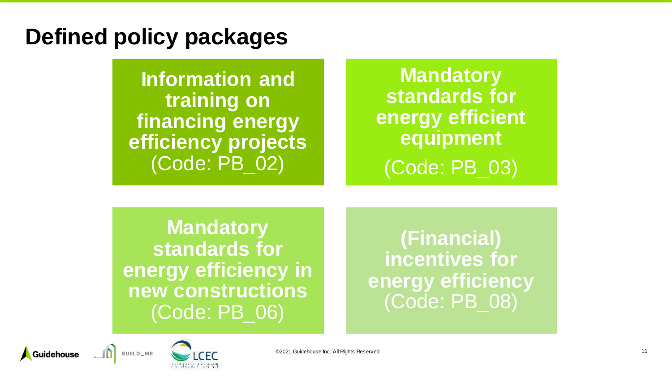#### **Defined policy packages**

**Information and training on financing energy efficiency projects**  (Code: PB\_02)

#### **Mandatory standards for energy efficient equipment**  (Code: PB\_03)

**Mandatory standards for energy efficiency in new constructions**  (Code: PB\_06)

**(Financial) incentives for energy efficiency**  (Code: PB\_08)



Guidehouse

©2021 Guidehouse Inc. All Rights Reserved 11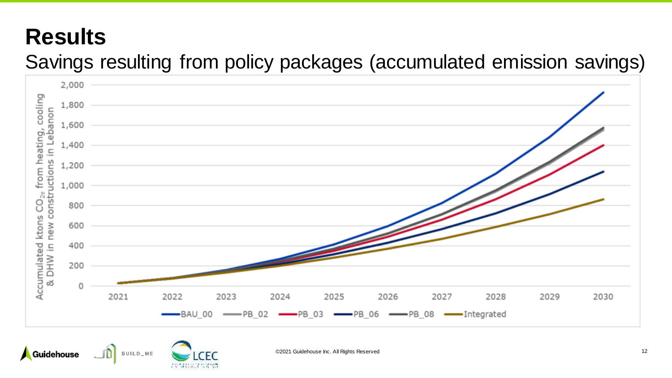### **Results**

#### Savings resulting from policy packages (accumulated emission savings)

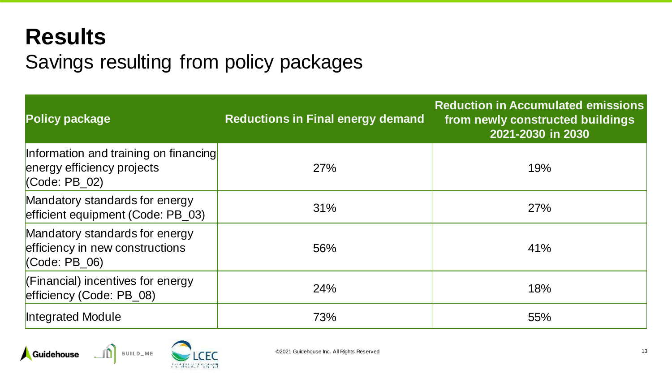### **Results**

#### Savings resulting from policy packages

| <b>Policy package</b>                                                                  | <b>Reductions in Final energy demand</b> | <b>Reduction in Accumulated emissions</b><br>from newly constructed buildings<br>2021-2030 in 2030 |
|----------------------------------------------------------------------------------------|------------------------------------------|----------------------------------------------------------------------------------------------------|
| Information and training on financing<br>energy efficiency projects<br>$(Code: PB_02)$ | 27%                                      | 19%                                                                                                |
| Mandatory standards for energy<br>efficient equipment (Code: PB_03)                    | 31%                                      | 27%                                                                                                |
| Mandatory standards for energy<br>efficiency in new constructions<br>(Code: PB 06)     | 56%                                      | 41%                                                                                                |
| (Financial) incentives for energy<br>efficiency (Code: PB_08)                          | 24%                                      | 18%                                                                                                |
| Integrated Module                                                                      | 73%                                      | 55%                                                                                                |

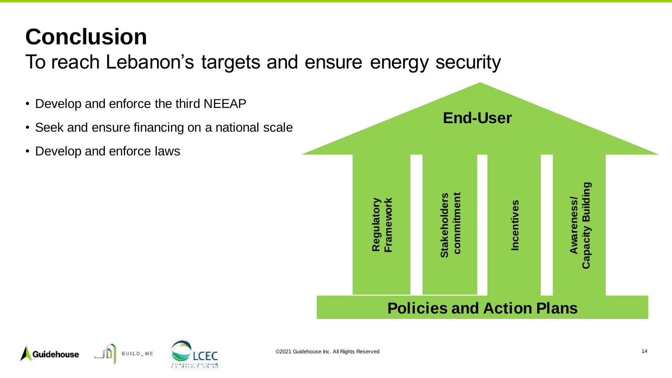## **Conclusion**

To reach Lebanon's targets and ensure energy security



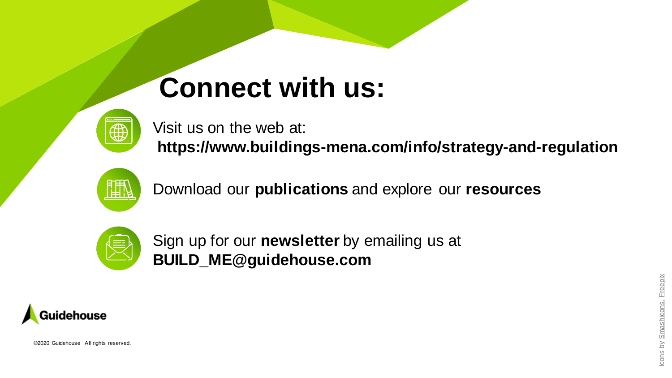## **Connect with us:**



Visit us on the web at: **https://www.buildings-mena.com/info/strategy-and-regulation**



Download our **publications** and explore our **resources**



Sign up for our **newsletter** by emailing us at **BUILD\_ME@guidehouse.com**